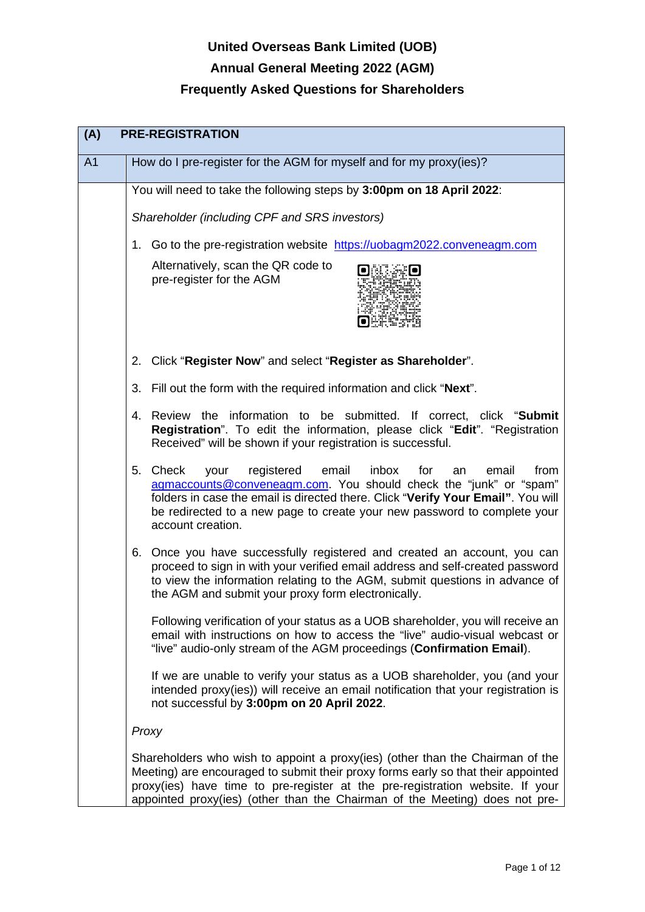# **United Overseas Bank Limited (UOB) Annual General Meeting 2022 (AGM)**

| (A)            | <b>PRE-REGISTRATION</b>                                                                                                                                                                                                                                                                                                               |
|----------------|---------------------------------------------------------------------------------------------------------------------------------------------------------------------------------------------------------------------------------------------------------------------------------------------------------------------------------------|
| A <sub>1</sub> | How do I pre-register for the AGM for myself and for my proxy(ies)?                                                                                                                                                                                                                                                                   |
|                | You will need to take the following steps by 3:00pm on 18 April 2022:                                                                                                                                                                                                                                                                 |
|                | Shareholder (including CPF and SRS investors)                                                                                                                                                                                                                                                                                         |
|                | 1. Go to the pre-registration website https://uobagm2022.conveneagm.com                                                                                                                                                                                                                                                               |
|                | Alternatively, scan the QR code to<br>pre-register for the AGM                                                                                                                                                                                                                                                                        |
|                | 2. Click "Register Now" and select "Register as Shareholder".                                                                                                                                                                                                                                                                         |
|                | 3. Fill out the form with the required information and click "Next".                                                                                                                                                                                                                                                                  |
|                | Review the information to be submitted. If correct, click "Submit<br>4.<br>Registration". To edit the information, please click "Edit". "Registration<br>Received" will be shown if your registration is successful.                                                                                                                  |
|                | 5. Check<br>your registered<br>email<br>inbox<br>for<br>email<br>from<br>an<br>agmaccounts@conveneagm.com. You should check the "junk" or "spam"<br>folders in case the email is directed there. Click "Verify Your Email". You will<br>be redirected to a new page to create your new password to complete your<br>account creation. |
|                | 6. Once you have successfully registered and created an account, you can<br>proceed to sign in with your verified email address and self-created password<br>to view the information relating to the AGM, submit questions in advance of<br>the AGM and submit your proxy form electronically.                                        |
|                | Following verification of your status as a UOB shareholder, you will receive an<br>email with instructions on how to access the "live" audio-visual webcast or<br>"live" audio-only stream of the AGM proceedings (Confirmation Email).                                                                                               |
|                | If we are unable to verify your status as a UOB shareholder, you (and your<br>intended proxy(ies)) will receive an email notification that your registration is<br>not successful by 3:00pm on 20 April 2022.                                                                                                                         |
|                | Proxy                                                                                                                                                                                                                                                                                                                                 |
|                | Shareholders who wish to appoint a proxy(ies) (other than the Chairman of the<br>Meeting) are encouraged to submit their proxy forms early so that their appointed<br>proxy(ies) have time to pre-register at the pre-registration website. If your<br>appointed proxy(ies) (other than the Chairman of the Meeting) does not pre-    |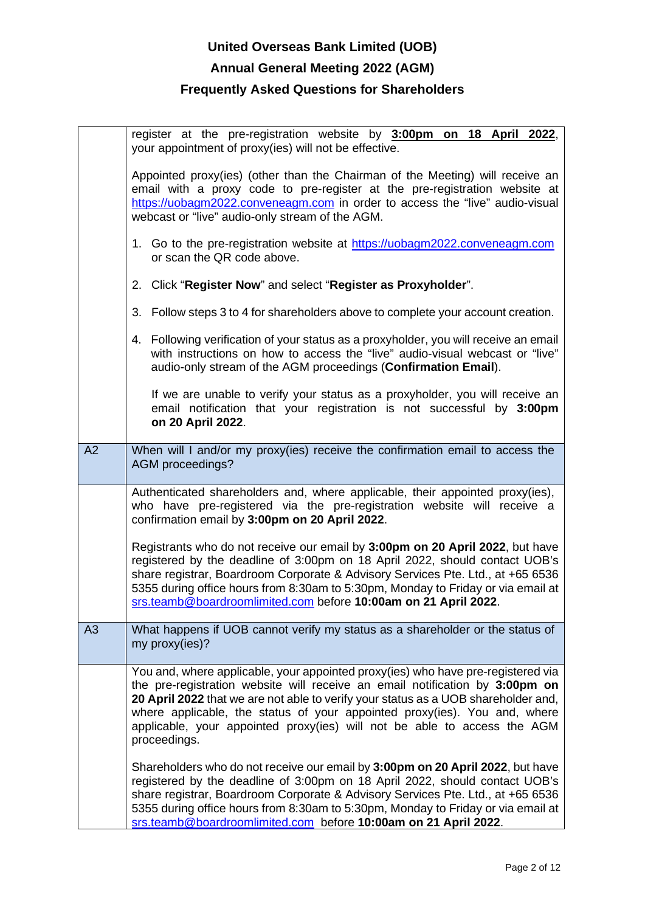## **Annual General Meeting 2022 (AGM)**

|    | register at the pre-registration website by 3:00pm on 18 April 2022,<br>your appointment of proxy(ies) will not be effective.                                                                                                                                                                                                                                                                                                   |
|----|---------------------------------------------------------------------------------------------------------------------------------------------------------------------------------------------------------------------------------------------------------------------------------------------------------------------------------------------------------------------------------------------------------------------------------|
|    | Appointed proxy(ies) (other than the Chairman of the Meeting) will receive an<br>email with a proxy code to pre-register at the pre-registration website at<br>https://uobagm2022.conveneagm.com in order to access the "live" audio-visual<br>webcast or "live" audio-only stream of the AGM.                                                                                                                                  |
|    | 1. Go to the pre-registration website at https://uobagm2022.conveneagm.com<br>or scan the QR code above.                                                                                                                                                                                                                                                                                                                        |
|    | 2. Click "Register Now" and select "Register as Proxyholder".                                                                                                                                                                                                                                                                                                                                                                   |
|    | 3. Follow steps 3 to 4 for shareholders above to complete your account creation.                                                                                                                                                                                                                                                                                                                                                |
|    | 4. Following verification of your status as a proxyholder, you will receive an email<br>with instructions on how to access the "live" audio-visual webcast or "live"<br>audio-only stream of the AGM proceedings (Confirmation Email).                                                                                                                                                                                          |
|    | If we are unable to verify your status as a proxyholder, you will receive an<br>email notification that your registration is not successful by 3:00pm<br>on 20 April 2022.                                                                                                                                                                                                                                                      |
| A2 | When will I and/or my proxy(ies) receive the confirmation email to access the<br>AGM proceedings?                                                                                                                                                                                                                                                                                                                               |
|    | Authenticated shareholders and, where applicable, their appointed proxy(ies),<br>who have pre-registered via the pre-registration website will receive a<br>confirmation email by 3:00pm on 20 April 2022.                                                                                                                                                                                                                      |
|    | Registrants who do not receive our email by 3:00pm on 20 April 2022, but have<br>registered by the deadline of 3:00pm on 18 April 2022, should contact UOB's<br>share registrar, Boardroom Corporate & Advisory Services Pte. Ltd., at +65 6536<br>5355 during office hours from 8:30am to 5:30pm, Monday to Friday or via email at<br>srs.teamb@boardroomlimited.com before 10:00am on 21 April 2022.                          |
| A3 | What happens if UOB cannot verify my status as a shareholder or the status of<br>my proxy(ies)?                                                                                                                                                                                                                                                                                                                                 |
|    | You and, where applicable, your appointed proxy(ies) who have pre-registered via<br>the pre-registration website will receive an email notification by 3:00pm on<br>20 April 2022 that we are not able to verify your status as a UOB shareholder and,<br>where applicable, the status of your appointed proxy(ies). You and, where<br>applicable, your appointed proxy(ies) will not be able to access the AGM<br>proceedings. |
|    | Shareholders who do not receive our email by 3:00pm on 20 April 2022, but have<br>registered by the deadline of 3:00pm on 18 April 2022, should contact UOB's<br>share registrar, Boardroom Corporate & Advisory Services Pte. Ltd., at +65 6536<br>5355 during office hours from 8:30am to 5:30pm, Monday to Friday or via email at<br>srs.teamb@boardroomlimited.com before 10:00am on 21 April 2022.                         |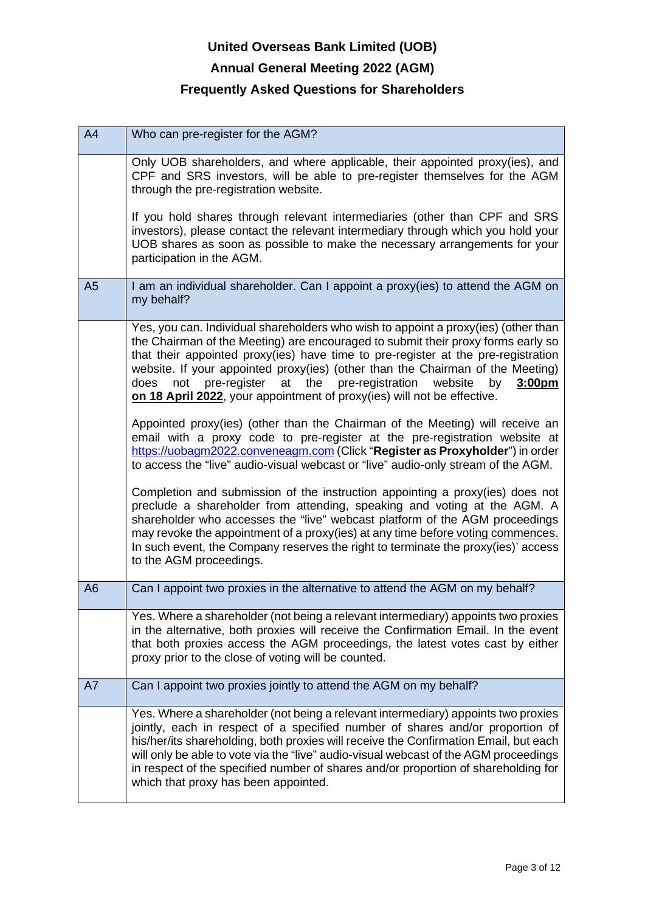## **Annual General Meeting 2022 (AGM)**

| A <sub>4</sub> | Who can pre-register for the AGM?                                                                                                                                                                                                                                                                                                                                                                                                                                                                             |
|----------------|---------------------------------------------------------------------------------------------------------------------------------------------------------------------------------------------------------------------------------------------------------------------------------------------------------------------------------------------------------------------------------------------------------------------------------------------------------------------------------------------------------------|
|                | Only UOB shareholders, and where applicable, their appointed proxy(ies), and<br>CPF and SRS investors, will be able to pre-register themselves for the AGM<br>through the pre-registration website.<br>If you hold shares through relevant intermediaries (other than CPF and SRS<br>investors), please contact the relevant intermediary through which you hold your                                                                                                                                         |
|                | UOB shares as soon as possible to make the necessary arrangements for your<br>participation in the AGM.                                                                                                                                                                                                                                                                                                                                                                                                       |
| A <sub>5</sub> | I am an individual shareholder. Can I appoint a proxy(ies) to attend the AGM on<br>my behalf?                                                                                                                                                                                                                                                                                                                                                                                                                 |
|                | Yes, you can. Individual shareholders who wish to appoint a proxy(ies) (other than<br>the Chairman of the Meeting) are encouraged to submit their proxy forms early so<br>that their appointed proxy(ies) have time to pre-register at the pre-registration<br>website. If your appointed proxy(ies) (other than the Chairman of the Meeting)<br>pre-register at<br>the pre-registration<br>does<br>not<br>website<br>by<br>3:00pm<br>on 18 April 2022, your appointment of proxy(ies) will not be effective. |
|                | Appointed proxy(ies) (other than the Chairman of the Meeting) will receive an<br>email with a proxy code to pre-register at the pre-registration website at<br>https://uobagm2022.conveneagm.com (Click "Register as Proxyholder") in order<br>to access the "live" audio-visual webcast or "live" audio-only stream of the AGM.                                                                                                                                                                              |
|                | Completion and submission of the instruction appointing a proxy(ies) does not<br>preclude a shareholder from attending, speaking and voting at the AGM. A<br>shareholder who accesses the "live" webcast platform of the AGM proceedings<br>may revoke the appointment of a proxy(ies) at any time before voting commences.<br>In such event, the Company reserves the right to terminate the proxy(ies)' access<br>to the AGM proceedings.                                                                   |
| A <sub>6</sub> | Can I appoint two proxies in the alternative to attend the AGM on my behalf?                                                                                                                                                                                                                                                                                                                                                                                                                                  |
|                | Yes. Where a shareholder (not being a relevant intermediary) appoints two proxies<br>in the alternative, both proxies will receive the Confirmation Email. In the event<br>that both proxies access the AGM proceedings, the latest votes cast by either<br>proxy prior to the close of voting will be counted.                                                                                                                                                                                               |
| A7             | Can I appoint two proxies jointly to attend the AGM on my behalf?                                                                                                                                                                                                                                                                                                                                                                                                                                             |
|                | Yes. Where a shareholder (not being a relevant intermediary) appoints two proxies<br>jointly, each in respect of a specified number of shares and/or proportion of<br>his/her/its shareholding, both proxies will receive the Confirmation Email, but each<br>will only be able to vote via the "live" audio-visual webcast of the AGM proceedings<br>in respect of the specified number of shares and/or proportion of shareholding for<br>which that proxy has been appointed.                              |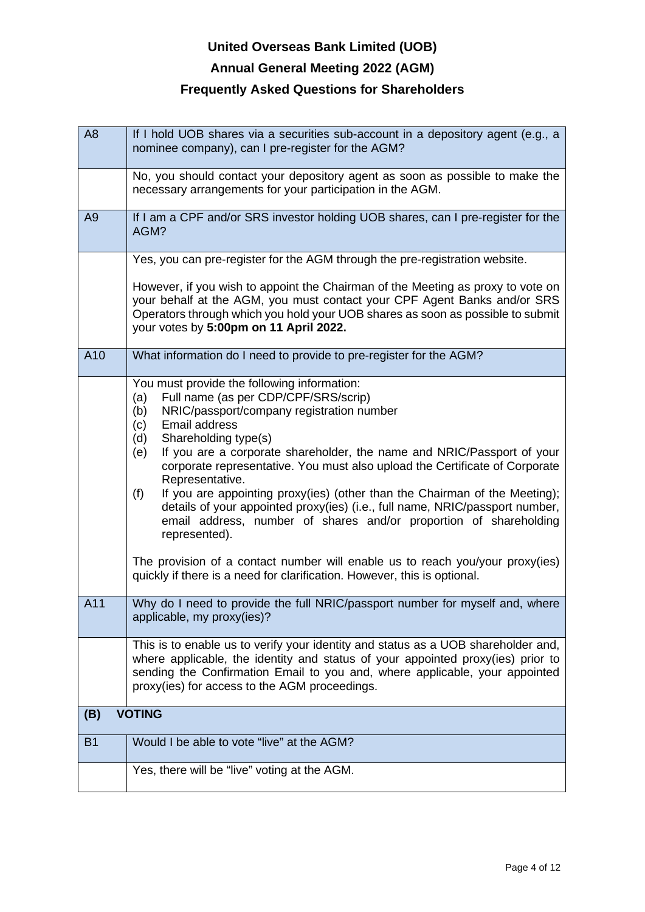## **Annual General Meeting 2022 (AGM)**

| A <sub>8</sub> | If I hold UOB shares via a securities sub-account in a depository agent (e.g., a<br>nominee company), can I pre-register for the AGM?                                                                                                                                                                                                                                                                                                                                                                                                                                                                                                                                                                                                                                                                            |
|----------------|------------------------------------------------------------------------------------------------------------------------------------------------------------------------------------------------------------------------------------------------------------------------------------------------------------------------------------------------------------------------------------------------------------------------------------------------------------------------------------------------------------------------------------------------------------------------------------------------------------------------------------------------------------------------------------------------------------------------------------------------------------------------------------------------------------------|
|                | No, you should contact your depository agent as soon as possible to make the<br>necessary arrangements for your participation in the AGM.                                                                                                                                                                                                                                                                                                                                                                                                                                                                                                                                                                                                                                                                        |
| A <sub>9</sub> | If I am a CPF and/or SRS investor holding UOB shares, can I pre-register for the<br>AGM?                                                                                                                                                                                                                                                                                                                                                                                                                                                                                                                                                                                                                                                                                                                         |
|                | Yes, you can pre-register for the AGM through the pre-registration website.                                                                                                                                                                                                                                                                                                                                                                                                                                                                                                                                                                                                                                                                                                                                      |
|                | However, if you wish to appoint the Chairman of the Meeting as proxy to vote on<br>your behalf at the AGM, you must contact your CPF Agent Banks and/or SRS<br>Operators through which you hold your UOB shares as soon as possible to submit<br>your votes by 5:00pm on 11 April 2022.                                                                                                                                                                                                                                                                                                                                                                                                                                                                                                                          |
| A10            | What information do I need to provide to pre-register for the AGM?                                                                                                                                                                                                                                                                                                                                                                                                                                                                                                                                                                                                                                                                                                                                               |
|                | You must provide the following information:<br>Full name (as per CDP/CPF/SRS/scrip)<br>(a)<br>NRIC/passport/company registration number<br>(b)<br>Email address<br>(c)<br>Shareholding type(s)<br>(d)<br>If you are a corporate shareholder, the name and NRIC/Passport of your<br>(e)<br>corporate representative. You must also upload the Certificate of Corporate<br>Representative.<br>(f)<br>If you are appointing proxy(ies) (other than the Chairman of the Meeting);<br>details of your appointed proxy(ies) (i.e., full name, NRIC/passport number,<br>email address, number of shares and/or proportion of shareholding<br>represented).<br>The provision of a contact number will enable us to reach you/your proxy(ies)<br>quickly if there is a need for clarification. However, this is optional. |
| A11            | Why do I need to provide the full NRIC/passport number for myself and, where<br>applicable, my proxy(ies)?                                                                                                                                                                                                                                                                                                                                                                                                                                                                                                                                                                                                                                                                                                       |
|                | This is to enable us to verify your identity and status as a UOB shareholder and,<br>where applicable, the identity and status of your appointed proxy(ies) prior to<br>sending the Confirmation Email to you and, where applicable, your appointed<br>proxy(ies) for access to the AGM proceedings.                                                                                                                                                                                                                                                                                                                                                                                                                                                                                                             |
| (B)            | <b>VOTING</b>                                                                                                                                                                                                                                                                                                                                                                                                                                                                                                                                                                                                                                                                                                                                                                                                    |
| <b>B1</b>      | Would I be able to vote "live" at the AGM?                                                                                                                                                                                                                                                                                                                                                                                                                                                                                                                                                                                                                                                                                                                                                                       |
|                | Yes, there will be "live" voting at the AGM.                                                                                                                                                                                                                                                                                                                                                                                                                                                                                                                                                                                                                                                                                                                                                                     |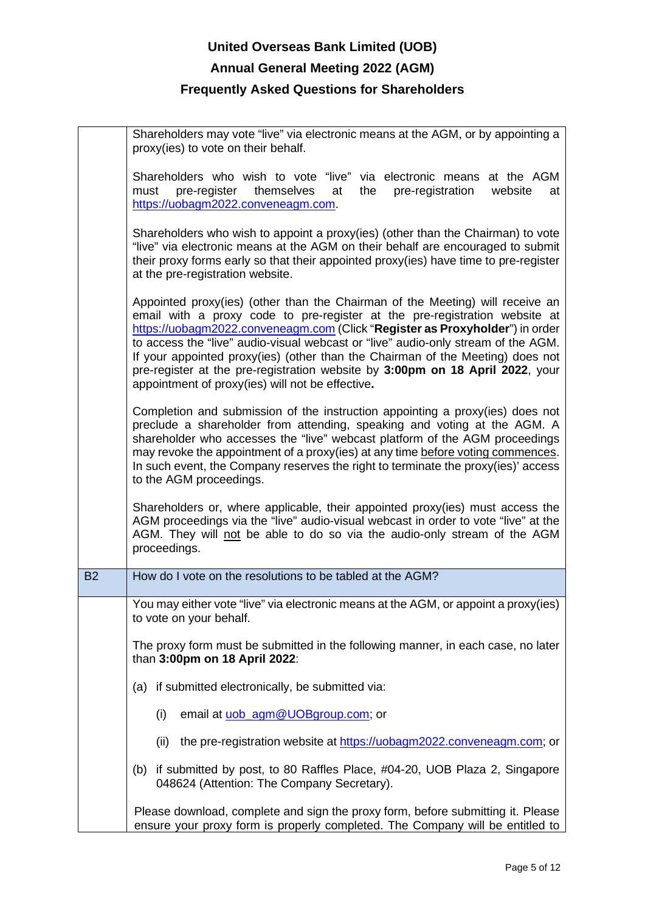# **United Overseas Bank Limited (UOB) Annual General Meeting 2022 (AGM) Frequently Asked Questions for Shareholders**

|           | Shareholders may vote "live" via electronic means at the AGM, or by appointing a<br>proxy(ies) to vote on their behalf.                                                                                                                                                                                                                                                                                                                                                                                                                                 |
|-----------|---------------------------------------------------------------------------------------------------------------------------------------------------------------------------------------------------------------------------------------------------------------------------------------------------------------------------------------------------------------------------------------------------------------------------------------------------------------------------------------------------------------------------------------------------------|
|           | Shareholders who wish to vote "live" via electronic means at the AGM<br>themselves<br>pre-registration<br>pre-register<br>website<br>must<br>at<br>the<br>at<br>https://uobagm2022.conveneagm.com.                                                                                                                                                                                                                                                                                                                                                      |
|           | Shareholders who wish to appoint a proxy(ies) (other than the Chairman) to vote<br>"live" via electronic means at the AGM on their behalf are encouraged to submit<br>their proxy forms early so that their appointed proxy(ies) have time to pre-register<br>at the pre-registration website.                                                                                                                                                                                                                                                          |
|           | Appointed proxy(ies) (other than the Chairman of the Meeting) will receive an<br>email with a proxy code to pre-register at the pre-registration website at<br>https://uobagm2022.conveneagm.com (Click "Register as Proxyholder") in order<br>to access the "live" audio-visual webcast or "live" audio-only stream of the AGM.<br>If your appointed proxy(ies) (other than the Chairman of the Meeting) does not<br>pre-register at the pre-registration website by 3:00pm on 18 April 2022, your<br>appointment of proxy(ies) will not be effective. |
|           | Completion and submission of the instruction appointing a proxy(ies) does not<br>preclude a shareholder from attending, speaking and voting at the AGM. A<br>shareholder who accesses the "live" webcast platform of the AGM proceedings<br>may revoke the appointment of a proxy(ies) at any time before voting commences.<br>In such event, the Company reserves the right to terminate the proxy(ies)' access<br>to the AGM proceedings.                                                                                                             |
|           | Shareholders or, where applicable, their appointed proxy(ies) must access the<br>AGM proceedings via the "live" audio-visual webcast in order to vote "live" at the<br>AGM. They will not be able to do so via the audio-only stream of the AGM<br>proceedings.                                                                                                                                                                                                                                                                                         |
| <b>B2</b> | How do I vote on the resolutions to be tabled at the AGM?                                                                                                                                                                                                                                                                                                                                                                                                                                                                                               |
|           | You may either vote "live" via electronic means at the AGM, or appoint a proxy(ies)<br>to vote on your behalf.                                                                                                                                                                                                                                                                                                                                                                                                                                          |
|           | The proxy form must be submitted in the following manner, in each case, no later<br>than 3:00pm on 18 April 2022:                                                                                                                                                                                                                                                                                                                                                                                                                                       |
|           | (a) if submitted electronically, be submitted via:                                                                                                                                                                                                                                                                                                                                                                                                                                                                                                      |
|           | (i)<br>email at uob_agm@UOBgroup.com; or                                                                                                                                                                                                                                                                                                                                                                                                                                                                                                                |
|           | the pre-registration website at https://uobagm2022.conveneagm.com; or<br>(ii)                                                                                                                                                                                                                                                                                                                                                                                                                                                                           |
|           | (b) if submitted by post, to 80 Raffles Place, #04-20, UOB Plaza 2, Singapore<br>048624 (Attention: The Company Secretary).                                                                                                                                                                                                                                                                                                                                                                                                                             |
|           | Please download, complete and sign the proxy form, before submitting it. Please<br>ensure your proxy form is properly completed. The Company will be entitled to                                                                                                                                                                                                                                                                                                                                                                                        |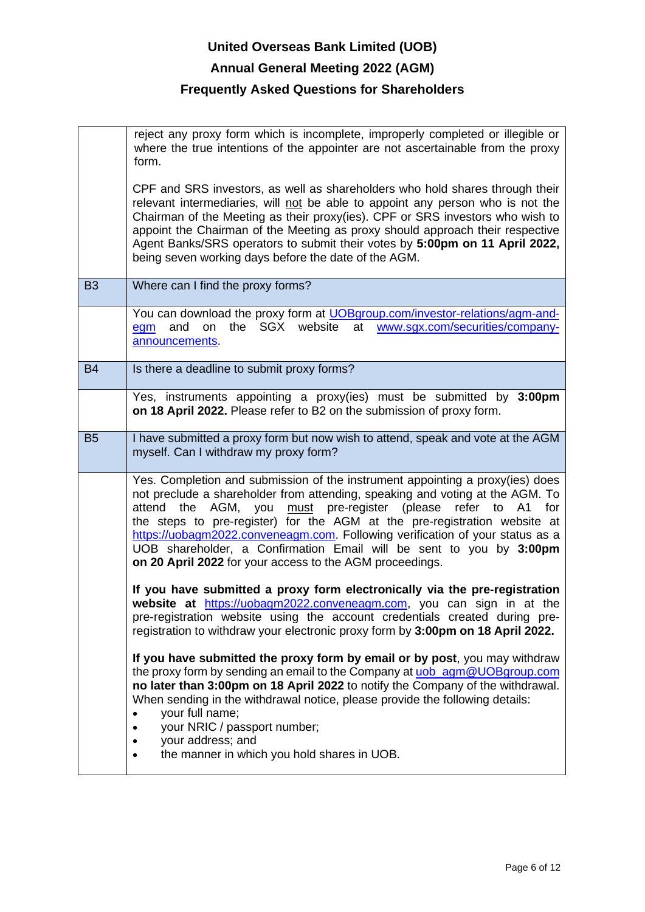# **United Overseas Bank Limited (UOB) Annual General Meeting 2022 (AGM) Frequently Asked Questions for Shareholders**

|           | reject any proxy form which is incomplete, improperly completed or illegible or<br>where the true intentions of the appointer are not ascertainable from the proxy<br>form.                                                                                                                                                                                                                                                                                                                                                         |
|-----------|-------------------------------------------------------------------------------------------------------------------------------------------------------------------------------------------------------------------------------------------------------------------------------------------------------------------------------------------------------------------------------------------------------------------------------------------------------------------------------------------------------------------------------------|
|           | CPF and SRS investors, as well as shareholders who hold shares through their<br>relevant intermediaries, will not be able to appoint any person who is not the<br>Chairman of the Meeting as their proxy(ies). CPF or SRS investors who wish to<br>appoint the Chairman of the Meeting as proxy should approach their respective<br>Agent Banks/SRS operators to submit their votes by 5:00pm on 11 April 2022,<br>being seven working days before the date of the AGM.                                                             |
| <b>B3</b> | Where can I find the proxy forms?                                                                                                                                                                                                                                                                                                                                                                                                                                                                                                   |
|           | You can download the proxy form at UOBgroup.com/investor-relations/agm-and-<br>the SGX website<br>at<br>www.sgx.com/securities/company-<br>on<br>and<br>egm<br>announcements.                                                                                                                                                                                                                                                                                                                                                       |
| <b>B4</b> | Is there a deadline to submit proxy forms?                                                                                                                                                                                                                                                                                                                                                                                                                                                                                          |
|           | Yes, instruments appointing a proxy(ies) must be submitted by 3:00pm<br>on 18 April 2022. Please refer to B2 on the submission of proxy form.                                                                                                                                                                                                                                                                                                                                                                                       |
| <b>B5</b> | I have submitted a proxy form but now wish to attend, speak and vote at the AGM<br>myself. Can I withdraw my proxy form?                                                                                                                                                                                                                                                                                                                                                                                                            |
|           | Yes. Completion and submission of the instrument appointing a proxy(ies) does<br>not preclude a shareholder from attending, speaking and voting at the AGM. To<br>attend the AGM, you must pre-register (please refer to A1<br>for<br>the steps to pre-register) for the AGM at the pre-registration website at<br>https://uobagm2022.conveneagm.com. Following verification of your status as a<br>UOB shareholder, a Confirmation Email will be sent to you by 3:00pm<br>on 20 April 2022 for your access to the AGM proceedings. |
|           | If you have submitted a proxy form electronically via the pre-registration<br>website at https://uobagm2022.conveneagm.com, you can sign in at the<br>pre-registration website using the account credentials created during pre-<br>registration to withdraw your electronic proxy form by 3:00pm on 18 April 2022.                                                                                                                                                                                                                 |
|           | If you have submitted the proxy form by email or by post, you may withdraw<br>the proxy form by sending an email to the Company at uob_agm@UOBgroup.com<br>no later than 3:00pm on 18 April 2022 to notify the Company of the withdrawal.<br>When sending in the withdrawal notice, please provide the following details:<br>your full name;<br>your NRIC / passport number;<br>your address; and<br>the manner in which you hold shares in UOB.<br>$\bullet$                                                                       |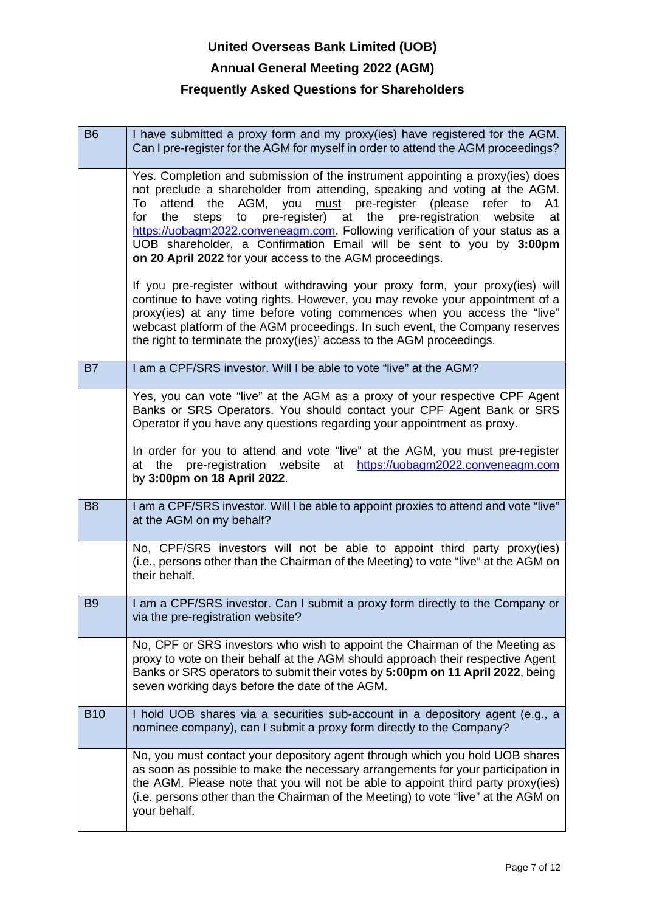## **Annual General Meeting 2022 (AGM)**

| <b>B6</b>      | I have submitted a proxy form and my proxy(ies) have registered for the AGM.<br>Can I pre-register for the AGM for myself in order to attend the AGM proceedings?                                                                                                                                                                                                                                                                                                                                                                                                        |
|----------------|--------------------------------------------------------------------------------------------------------------------------------------------------------------------------------------------------------------------------------------------------------------------------------------------------------------------------------------------------------------------------------------------------------------------------------------------------------------------------------------------------------------------------------------------------------------------------|
|                | Yes. Completion and submission of the instrument appointing a proxy(ies) does<br>not preclude a shareholder from attending, speaking and voting at the AGM.<br>AGM,<br>must pre-register<br>the<br>you<br>(please)<br>refer to<br>To<br>attend<br>A1<br>pre-register)<br>pre-registration<br>the<br>steps<br>at<br>the<br>for<br>to<br>website<br>at<br>https://uobagm2022.conveneagm.com. Following verification of your status as a<br>UOB shareholder, a Confirmation Email will be sent to you by 3:00pm<br>on 20 April 2022 for your access to the AGM proceedings. |
|                | If you pre-register without withdrawing your proxy form, your proxy(ies) will<br>continue to have voting rights. However, you may revoke your appointment of a<br>proxy(ies) at any time before voting commences when you access the "live"<br>webcast platform of the AGM proceedings. In such event, the Company reserves<br>the right to terminate the proxy(ies)' access to the AGM proceedings.                                                                                                                                                                     |
| <b>B7</b>      | I am a CPF/SRS investor. Will I be able to vote "live" at the AGM?                                                                                                                                                                                                                                                                                                                                                                                                                                                                                                       |
|                | Yes, you can vote "live" at the AGM as a proxy of your respective CPF Agent<br>Banks or SRS Operators. You should contact your CPF Agent Bank or SRS<br>Operator if you have any questions regarding your appointment as proxy.                                                                                                                                                                                                                                                                                                                                          |
|                | In order for you to attend and vote "live" at the AGM, you must pre-register<br>pre-registration<br>website<br>https://uobagm2022.conveneagm.com<br>the<br>at<br>at<br>by 3:00pm on 18 April 2022.                                                                                                                                                                                                                                                                                                                                                                       |
| B <sub>8</sub> | I am a CPF/SRS investor. Will I be able to appoint proxies to attend and vote "live"<br>at the AGM on my behalf?                                                                                                                                                                                                                                                                                                                                                                                                                                                         |
|                | No, CPF/SRS investors will not be able to appoint third party proxy(ies)                                                                                                                                                                                                                                                                                                                                                                                                                                                                                                 |
|                | (i.e., persons other than the Chairman of the Meeting) to vote "live" at the AGM on<br>their behalf.                                                                                                                                                                                                                                                                                                                                                                                                                                                                     |
| <b>B9</b>      | I am a CPF/SRS investor. Can I submit a proxy form directly to the Company or<br>via the pre-registration website?                                                                                                                                                                                                                                                                                                                                                                                                                                                       |
|                | No, CPF or SRS investors who wish to appoint the Chairman of the Meeting as<br>proxy to vote on their behalf at the AGM should approach their respective Agent<br>Banks or SRS operators to submit their votes by 5:00pm on 11 April 2022, being<br>seven working days before the date of the AGM.                                                                                                                                                                                                                                                                       |
| <b>B10</b>     | hold UOB shares via a securities sub-account in a depository agent (e.g., a<br>nominee company), can I submit a proxy form directly to the Company?<br>No, you must contact your depository agent through which you hold UOB shares                                                                                                                                                                                                                                                                                                                                      |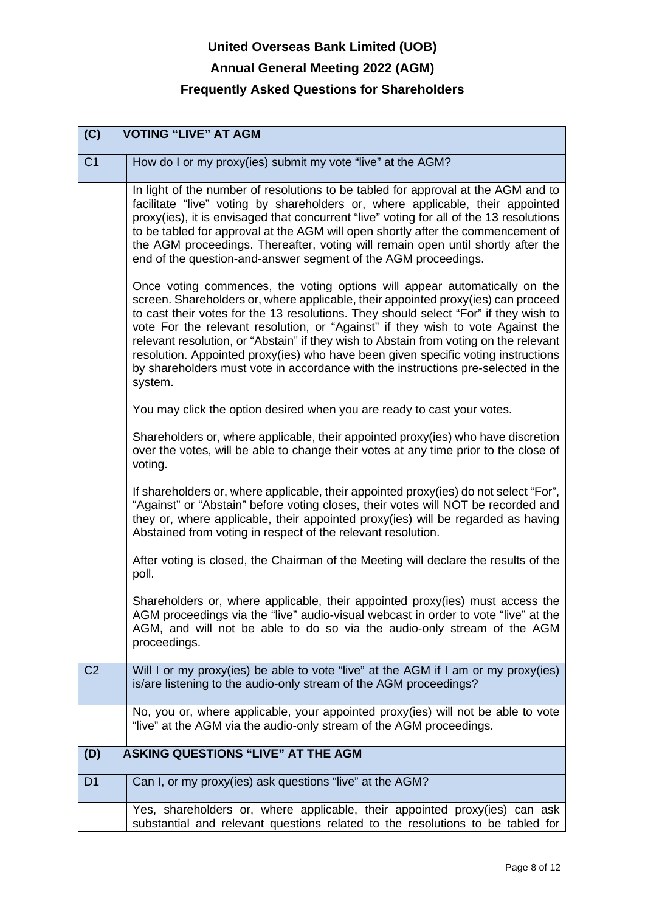# **United Overseas Bank Limited (UOB) Annual General Meeting 2022 (AGM)**

| (C)            | <b>VOTING "LIVE" AT AGM</b>                                                                                                                                                                                                                                                                                                                                                                                                                                                                                                                                                                                              |
|----------------|--------------------------------------------------------------------------------------------------------------------------------------------------------------------------------------------------------------------------------------------------------------------------------------------------------------------------------------------------------------------------------------------------------------------------------------------------------------------------------------------------------------------------------------------------------------------------------------------------------------------------|
| C <sub>1</sub> | How do I or my proxy(ies) submit my vote "live" at the AGM?                                                                                                                                                                                                                                                                                                                                                                                                                                                                                                                                                              |
|                | In light of the number of resolutions to be tabled for approval at the AGM and to<br>facilitate "live" voting by shareholders or, where applicable, their appointed<br>proxy(ies), it is envisaged that concurrent "live" voting for all of the 13 resolutions<br>to be tabled for approval at the AGM will open shortly after the commencement of<br>the AGM proceedings. Thereafter, voting will remain open until shortly after the<br>end of the question-and-answer segment of the AGM proceedings.                                                                                                                 |
|                | Once voting commences, the voting options will appear automatically on the<br>screen. Shareholders or, where applicable, their appointed proxy(ies) can proceed<br>to cast their votes for the 13 resolutions. They should select "For" if they wish to<br>vote For the relevant resolution, or "Against" if they wish to vote Against the<br>relevant resolution, or "Abstain" if they wish to Abstain from voting on the relevant<br>resolution. Appointed proxy(ies) who have been given specific voting instructions<br>by shareholders must vote in accordance with the instructions pre-selected in the<br>system. |
|                | You may click the option desired when you are ready to cast your votes.                                                                                                                                                                                                                                                                                                                                                                                                                                                                                                                                                  |
|                | Shareholders or, where applicable, their appointed proxy(ies) who have discretion<br>over the votes, will be able to change their votes at any time prior to the close of<br>voting.                                                                                                                                                                                                                                                                                                                                                                                                                                     |
|                | If shareholders or, where applicable, their appointed proxy(ies) do not select "For",<br>"Against" or "Abstain" before voting closes, their votes will NOT be recorded and<br>they or, where applicable, their appointed proxy(ies) will be regarded as having<br>Abstained from voting in respect of the relevant resolution.                                                                                                                                                                                                                                                                                           |
|                | After voting is closed, the Chairman of the Meeting will declare the results of the<br>poll.                                                                                                                                                                                                                                                                                                                                                                                                                                                                                                                             |
|                | Shareholders or, where applicable, their appointed proxy(ies) must access the<br>AGM proceedings via the "live" audio-visual webcast in order to vote "live" at the<br>AGM, and will not be able to do so via the audio-only stream of the AGM<br>proceedings.                                                                                                                                                                                                                                                                                                                                                           |
| C <sub>2</sub> | Will I or my proxy(ies) be able to vote "live" at the AGM if I am or my proxy(ies)<br>is/are listening to the audio-only stream of the AGM proceedings?                                                                                                                                                                                                                                                                                                                                                                                                                                                                  |
|                | No, you or, where applicable, your appointed proxy(ies) will not be able to vote<br>"live" at the AGM via the audio-only stream of the AGM proceedings.                                                                                                                                                                                                                                                                                                                                                                                                                                                                  |
| (D)            | <b>ASKING QUESTIONS "LIVE" AT THE AGM</b>                                                                                                                                                                                                                                                                                                                                                                                                                                                                                                                                                                                |
| D <sub>1</sub> | Can I, or my proxy(ies) ask questions "live" at the AGM?                                                                                                                                                                                                                                                                                                                                                                                                                                                                                                                                                                 |
|                | Yes, shareholders or, where applicable, their appointed proxy(ies) can ask<br>substantial and relevant questions related to the resolutions to be tabled for                                                                                                                                                                                                                                                                                                                                                                                                                                                             |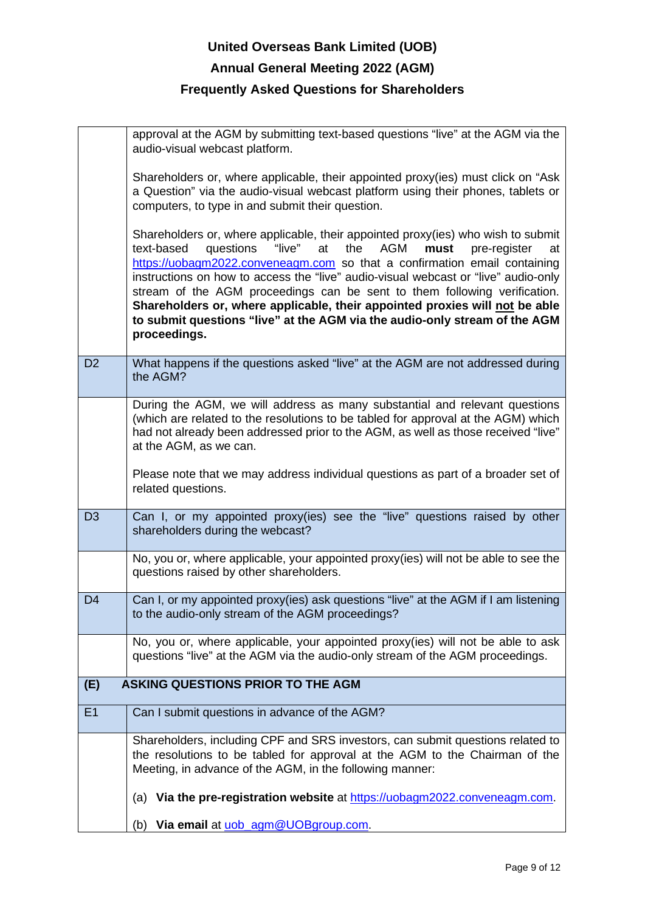# **United Overseas Bank Limited (UOB) Annual General Meeting 2022 (AGM) Frequently Asked Questions for Shareholders**

|                | approval at the AGM by submitting text-based questions "live" at the AGM via the<br>audio-visual webcast platform.                                                                                                                                                                                                                                                                                                                                                                                                                                                                                   |
|----------------|------------------------------------------------------------------------------------------------------------------------------------------------------------------------------------------------------------------------------------------------------------------------------------------------------------------------------------------------------------------------------------------------------------------------------------------------------------------------------------------------------------------------------------------------------------------------------------------------------|
|                | Shareholders or, where applicable, their appointed proxy(ies) must click on "Ask<br>a Question" via the audio-visual webcast platform using their phones, tablets or<br>computers, to type in and submit their question.                                                                                                                                                                                                                                                                                                                                                                             |
|                | Shareholders or, where applicable, their appointed proxy(ies) who wish to submit<br>questions<br>"live"<br>the<br>AGM<br>text-based<br>at<br>must<br>pre-register<br>at<br>https://uobagm2022.conveneagm.com so that a confirmation email containing<br>instructions on how to access the "live" audio-visual webcast or "live" audio-only<br>stream of the AGM proceedings can be sent to them following verification.<br>Shareholders or, where applicable, their appointed proxies will not be able<br>to submit questions "live" at the AGM via the audio-only stream of the AGM<br>proceedings. |
| D <sub>2</sub> | What happens if the questions asked "live" at the AGM are not addressed during<br>the AGM?                                                                                                                                                                                                                                                                                                                                                                                                                                                                                                           |
|                | During the AGM, we will address as many substantial and relevant questions<br>(which are related to the resolutions to be tabled for approval at the AGM) which<br>had not already been addressed prior to the AGM, as well as those received "live"<br>at the AGM, as we can.                                                                                                                                                                                                                                                                                                                       |
|                | Please note that we may address individual questions as part of a broader set of<br>related questions.                                                                                                                                                                                                                                                                                                                                                                                                                                                                                               |
| D <sub>3</sub> | Can I, or my appointed proxy(ies) see the "live" questions raised by other<br>shareholders during the webcast?                                                                                                                                                                                                                                                                                                                                                                                                                                                                                       |
|                | No, you or, where applicable, your appointed proxy(ies) will not be able to see the<br>questions raised by other shareholders.                                                                                                                                                                                                                                                                                                                                                                                                                                                                       |
| D <sub>4</sub> | Can I, or my appointed proxy(ies) ask questions "live" at the AGM if I am listening<br>to the audio-only stream of the AGM proceedings?                                                                                                                                                                                                                                                                                                                                                                                                                                                              |
|                | No, you or, where applicable, your appointed proxy(ies) will not be able to ask<br>questions "live" at the AGM via the audio-only stream of the AGM proceedings.                                                                                                                                                                                                                                                                                                                                                                                                                                     |
| (E)            | <b>ASKING QUESTIONS PRIOR TO THE AGM</b>                                                                                                                                                                                                                                                                                                                                                                                                                                                                                                                                                             |
| E1             | Can I submit questions in advance of the AGM?                                                                                                                                                                                                                                                                                                                                                                                                                                                                                                                                                        |
|                | Shareholders, including CPF and SRS investors, can submit questions related to<br>the resolutions to be tabled for approval at the AGM to the Chairman of the<br>Meeting, in advance of the AGM, in the following manner:                                                                                                                                                                                                                                                                                                                                                                            |
|                | (a) Via the pre-registration website at https://uobagm2022.conveneagm.com.                                                                                                                                                                                                                                                                                                                                                                                                                                                                                                                           |
|                | Via email at uob_agm@UOBgroup.com.<br>(b)                                                                                                                                                                                                                                                                                                                                                                                                                                                                                                                                                            |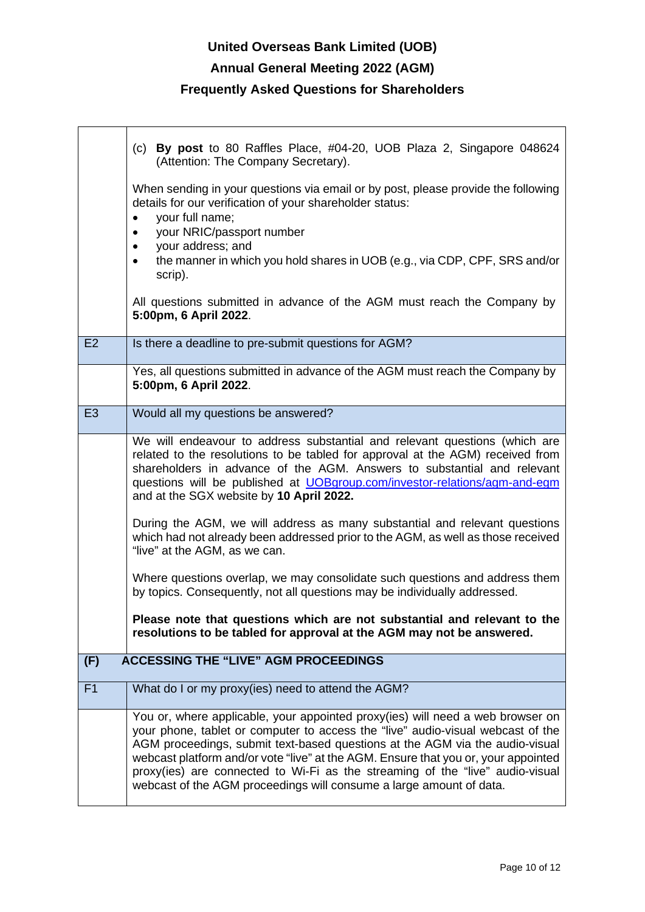## **Annual General Meeting 2022 (AGM)**

#### **Frequently Asked Questions for Shareholders**

 $\mathsf{r}$ 

|                | (c) By post to 80 Raffles Place, $#04-20$ , UOB Plaza 2, Singapore 048624<br>(Attention: The Company Secretary).                                                                                                                                                                                                                                                                                                                                                                                |
|----------------|-------------------------------------------------------------------------------------------------------------------------------------------------------------------------------------------------------------------------------------------------------------------------------------------------------------------------------------------------------------------------------------------------------------------------------------------------------------------------------------------------|
|                | When sending in your questions via email or by post, please provide the following<br>details for our verification of your shareholder status:<br>your full name;<br>your NRIC/passport number<br>$\bullet$<br>your address; and<br>٠<br>the manner in which you hold shares in UOB (e.g., via CDP, CPF, SRS and/or<br>$\bullet$                                                                                                                                                                 |
|                | scrip).<br>All questions submitted in advance of the AGM must reach the Company by<br>5:00pm, 6 April 2022.                                                                                                                                                                                                                                                                                                                                                                                     |
| E2             | Is there a deadline to pre-submit questions for AGM?                                                                                                                                                                                                                                                                                                                                                                                                                                            |
|                | Yes, all questions submitted in advance of the AGM must reach the Company by<br>5:00pm, 6 April 2022.                                                                                                                                                                                                                                                                                                                                                                                           |
| E <sub>3</sub> | Would all my questions be answered?                                                                                                                                                                                                                                                                                                                                                                                                                                                             |
|                | We will endeavour to address substantial and relevant questions (which are<br>related to the resolutions to be tabled for approval at the AGM) received from<br>shareholders in advance of the AGM. Answers to substantial and relevant<br>questions will be published at <b>UOBgroup.com/investor-relations/agm-and-egm</b><br>and at the SGX website by 10 April 2022.                                                                                                                        |
|                | During the AGM, we will address as many substantial and relevant questions<br>which had not already been addressed prior to the AGM, as well as those received<br>"live" at the AGM, as we can.                                                                                                                                                                                                                                                                                                 |
|                | Where questions overlap, we may consolidate such questions and address them<br>by topics. Consequently, not all questions may be individually addressed.                                                                                                                                                                                                                                                                                                                                        |
|                | Please note that questions which are not substantial and relevant to the<br>resolutions to be tabled for approval at the AGM may not be answered.                                                                                                                                                                                                                                                                                                                                               |
| (F)            | <b>ACCESSING THE "LIVE" AGM PROCEEDINGS</b>                                                                                                                                                                                                                                                                                                                                                                                                                                                     |
| F <sub>1</sub> | What do I or my proxy(ies) need to attend the AGM?                                                                                                                                                                                                                                                                                                                                                                                                                                              |
|                | You or, where applicable, your appointed proxy(ies) will need a web browser on<br>your phone, tablet or computer to access the "live" audio-visual webcast of the<br>AGM proceedings, submit text-based questions at the AGM via the audio-visual<br>webcast platform and/or vote "live" at the AGM. Ensure that you or, your appointed<br>proxy(ies) are connected to Wi-Fi as the streaming of the "live" audio-visual<br>webcast of the AGM proceedings will consume a large amount of data. |

 $\overline{\phantom{a}}$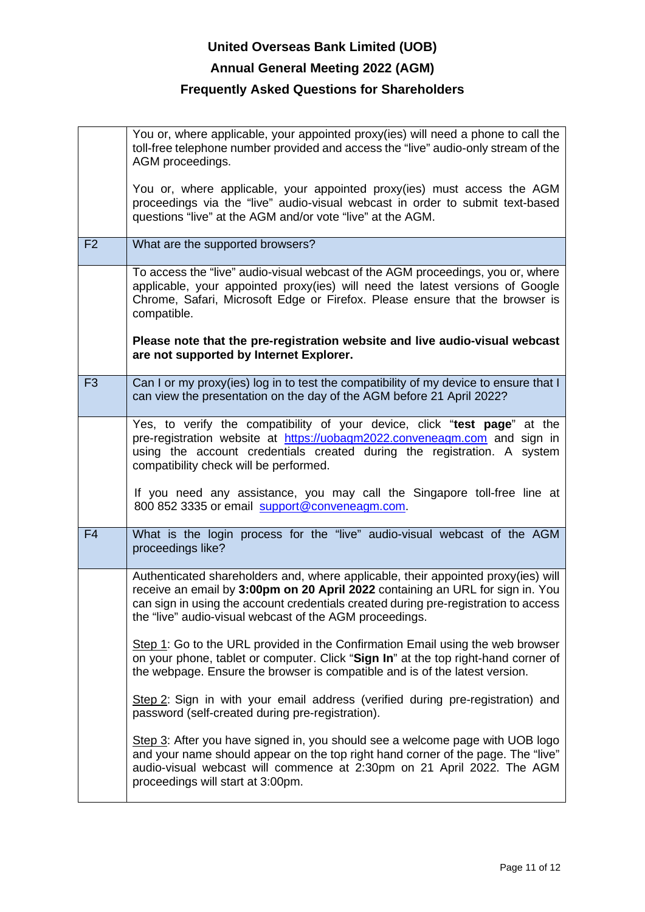## **Annual General Meeting 2022 (AGM)**

|                | You or, where applicable, your appointed proxy(ies) will need a phone to call the<br>toll-free telephone number provided and access the "live" audio-only stream of the<br>AGM proceedings.                                                                                                                           |
|----------------|-----------------------------------------------------------------------------------------------------------------------------------------------------------------------------------------------------------------------------------------------------------------------------------------------------------------------|
|                | You or, where applicable, your appointed proxy(ies) must access the AGM<br>proceedings via the "live" audio-visual webcast in order to submit text-based<br>questions "live" at the AGM and/or vote "live" at the AGM.                                                                                                |
| F <sub>2</sub> | What are the supported browsers?                                                                                                                                                                                                                                                                                      |
|                | To access the "live" audio-visual webcast of the AGM proceedings, you or, where<br>applicable, your appointed proxy(ies) will need the latest versions of Google<br>Chrome, Safari, Microsoft Edge or Firefox. Please ensure that the browser is<br>compatible.                                                       |
|                | Please note that the pre-registration website and live audio-visual webcast<br>are not supported by Internet Explorer.                                                                                                                                                                                                |
| F <sub>3</sub> | Can I or my proxy(ies) log in to test the compatibility of my device to ensure that I<br>can view the presentation on the day of the AGM before 21 April 2022?                                                                                                                                                        |
|                | Yes, to verify the compatibility of your device, click "test page" at the<br>pre-registration website at https://uobagm2022.conveneagm.com and sign in<br>using the account credentials created during the registration. A system<br>compatibility check will be performed.                                           |
|                | If you need any assistance, you may call the Singapore toll-free line at<br>800 852 3335 or email support@conveneagm.com.                                                                                                                                                                                             |
| F <sub>4</sub> | What is the login process for the "live" audio-visual webcast of the AGM<br>proceedings like?                                                                                                                                                                                                                         |
|                | Authenticated shareholders and, where applicable, their appointed proxy(ies) will<br>receive an email by 3:00pm on 20 April 2022 containing an URL for sign in. You<br>can sign in using the account credentials created during pre-registration to access<br>the "live" audio-visual webcast of the AGM proceedings. |
|                | Step 1: Go to the URL provided in the Confirmation Email using the web browser<br>on your phone, tablet or computer. Click "Sign In" at the top right-hand corner of<br>the webpage. Ensure the browser is compatible and is of the latest version.                                                                   |
|                | Step 2: Sign in with your email address (verified during pre-registration) and<br>password (self-created during pre-registration).                                                                                                                                                                                    |
|                | Step 3: After you have signed in, you should see a welcome page with UOB logo<br>and your name should appear on the top right hand corner of the page. The "live"<br>audio-visual webcast will commence at 2:30pm on 21 April 2022. The AGM<br>proceedings will start at 3:00pm.                                      |